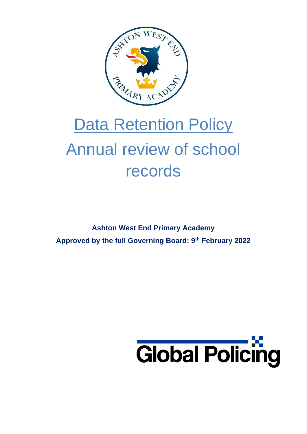

# **Data Retention Policy** Annual review of school records

**Ashton West End Primary Academy Approved by the full Governing Board: 9th February 2022**

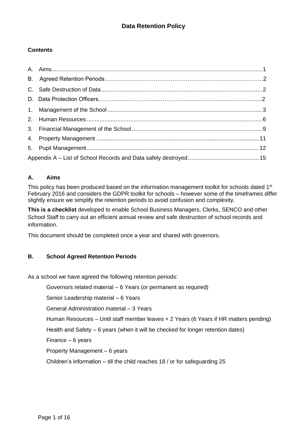#### **Contents**

#### <span id="page-1-0"></span>**A. Aims**

This policy has been produced based on the information management toolkit for schools dated 1<sup>st</sup> February 2016 and considers the GDPR toolkit for schools – however some of the timeframes differ slightly ensure we simplify the retention periods to avoid confusion and complexity.

**This is a checklist** developed to enable School Business Managers, Clerks, SENCO and other School Staff to carry out an efficient annual review and safe destruction of school records and information.

This document should be completed once a year and shared with governors.

#### **B. School Agreed Retention Periods**

As a school we have agreed the following retention periods:

Governors related material – 6 Years (or permanent as required)

Senior Leadership material – 6 Years

General Administration material – 3 Years

Human Resources – Until staff member leaves + 2 Years (6 Years if HR matters pending)

Health and Safety – 6 years (when it will be checked for longer retention dates)

Finance – 6 years

Property Management – 6 years

Children's information – till the child reaches 18 / or for safeguarding 25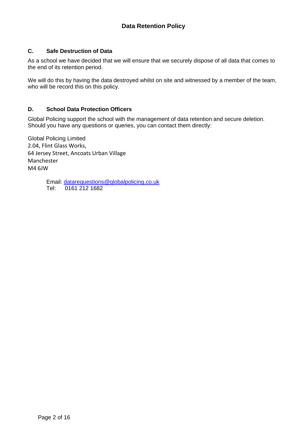#### <span id="page-2-0"></span>**C. Safe Destruction of Data**

As a school we have decided that we will ensure that we securely dispose of all data that comes to the end of its retention period.

We will do this by having the data destroyed whilst on site and witnessed by a member of the team, who will be record this on this policy.

#### **D. School Data Protection Officers**

Global Policing support the school with the management of data retention and secure deletion. Should you have any questions or queries, you can contact them directly:

Global Policing Limited 2.04, Flint Glass Works, 64 Jersey Street, Ancoats Urban Village Manchester M4 6JW

> Email: [datarequestions@globalpolicing.co.uk](mailto:datarequestions@globalpolicing.co.uk) Tel: 0161 212 1682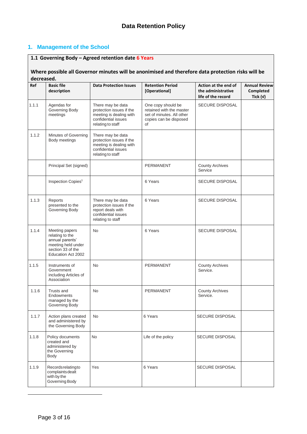#### <span id="page-3-0"></span>**1. Management of the School**

### **1.1 Governing Body – Agreed retention date 6 Years**

#### **Where possible all Governor minutes will be anonimised and therefore data protection risks will be decreased.**

| Ref   | <b>Basic file</b><br>description                                                                                      | <b>Data Protection Issues</b>                                                                                        | <b>Retention Period</b><br>[Operational]                                                                    | Action at the end of<br>the administrative | <b>Annual Review</b><br>Completed |
|-------|-----------------------------------------------------------------------------------------------------------------------|----------------------------------------------------------------------------------------------------------------------|-------------------------------------------------------------------------------------------------------------|--------------------------------------------|-----------------------------------|
|       |                                                                                                                       |                                                                                                                      |                                                                                                             | life of the record                         | Tick $(v)$                        |
| 1.1.1 | Agendas for<br>Governing Body<br>meetings                                                                             | There may be data<br>protection issues if the<br>meeting is dealing with<br>confidential issues<br>relating to staff | One copy should be<br>retained with the master<br>set of minutes. All other<br>copies can be disposed<br>οf | <b>SECURE DISPOSAL</b>                     |                                   |
| 1.1.2 | Minutes of Governing<br>Body meetings                                                                                 | There may be data<br>protection issues if the<br>meeting is dealing with<br>confidential issues<br>relating to staff |                                                                                                             |                                            |                                   |
|       | Principal Set (signed)                                                                                                |                                                                                                                      | PERMANENT                                                                                                   | <b>County Archives</b><br>Service          |                                   |
|       | Inspection Copies <sup>1</sup>                                                                                        |                                                                                                                      | 6 Years                                                                                                     | SECURE DISPOSAL                            |                                   |
| 1.1.3 | Reports<br>presented to the<br>Governing Body                                                                         | There may be data<br>protection issues if the<br>report deals with<br>confidential issues<br>relating to staff       | 6 Years                                                                                                     | <b>SECURE DISPOSAL</b>                     |                                   |
| 1.1.4 | Meeting papers<br>relating to the<br>annual parents'<br>meeting held under<br>section 33 of the<br>Education Act 2002 | <b>No</b>                                                                                                            | 6 Years                                                                                                     | <b>SECURE DISPOSAL</b>                     |                                   |
| 1.1.5 | Instruments of<br>Government<br>including Articles of<br>Association                                                  | <b>No</b>                                                                                                            | PERMANENT                                                                                                   | <b>County Archives</b><br>Service.         |                                   |
| 1.1.6 | Trusts and<br>Endowments<br>managed by the<br>Governing Body                                                          | <b>No</b>                                                                                                            | PERMANENT                                                                                                   | <b>County Archives</b><br>Service.         |                                   |
| 1.1.7 | Action plans created<br>and administered by<br>the Governing Body                                                     | No                                                                                                                   | 6 Years                                                                                                     | <b>SECURE DISPOSAL</b>                     |                                   |
| 1.1.8 | Policy documents<br>created and<br>administered by<br>the Governing<br>Body                                           | <b>No</b>                                                                                                            | Life of the policy                                                                                          | <b>SECURE DISPOSAL</b>                     |                                   |
| 1.1.9 | Recordsrelatingto<br>complaints dealt<br>with by the<br>Governing Body                                                | Yes                                                                                                                  | 6 Years                                                                                                     | <b>SECURE DISPOSAL</b>                     |                                   |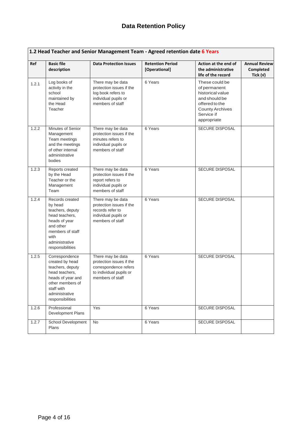|       | 1.2 Head Teacher and Senior Management Team - Agreed retention date 6 Years                                                                                          |                                                                                                                       |                                          |                                                                                                                                              |                                                 |  |  |
|-------|----------------------------------------------------------------------------------------------------------------------------------------------------------------------|-----------------------------------------------------------------------------------------------------------------------|------------------------------------------|----------------------------------------------------------------------------------------------------------------------------------------------|-------------------------------------------------|--|--|
| Ref   | <b>Basic file</b><br>description                                                                                                                                     | <b>Data Protection Issues</b>                                                                                         | <b>Retention Period</b><br>[Operational] | Action at the end of<br>the administrative<br>life of the record                                                                             | <b>Annual Review</b><br>Completed<br>Tick $(v)$ |  |  |
| 1.2.1 | Log books of<br>activity in the<br>school<br>maintained by<br>the Head<br>Teacher                                                                                    | There may be data<br>protection issues if the<br>log book refers to<br>individual pupils or<br>members of staff       | 6 Years                                  | These could be<br>of permanent<br>historical value<br>and should be<br>offered to the<br><b>County Archives</b><br>Service if<br>appropriate |                                                 |  |  |
| 1.2.2 | Minutes of Senior<br>Management<br>Team meetings<br>and the meetings<br>of other internal<br>administrative<br>bodies                                                | There may be data<br>protection issues if the<br>minutes refers to<br>individual pupils or<br>members of staff        | 6 Years                                  | SECURE DISPOSAL                                                                                                                              |                                                 |  |  |
| 1.2.3 | Reports created<br>by the Head<br>Teacher or the<br>Management<br>Team                                                                                               | There may be data<br>protection issues if the<br>report refers to<br>individual pupils or<br>members of staff         | 6 Years                                  | SECURE DISPOSAL                                                                                                                              |                                                 |  |  |
| 1.2.4 | Records created<br>by head<br>teachers, deputy<br>head teachers,<br>heads of year<br>and other<br>members of staff<br>with<br>administrative<br>responsibilities     | There may be data<br>protection issues if the<br>records refer to<br>individual pupils or<br>members of staff         | 6 Years                                  | SECURE DISPOSAL                                                                                                                              |                                                 |  |  |
| 1.2.5 | Correspondence<br>created by head<br>teachers, deputy<br>head teachers,<br>heads of year and<br>other members of<br>staff with<br>administrative<br>responsibilities | There may be data<br>protection issues if the<br>correspondence refers<br>to individual pupils or<br>members of staff | 6 Years                                  | SECURE DISPOSAL                                                                                                                              |                                                 |  |  |
| 1.2.6 | Professional<br>Development Plans                                                                                                                                    | Yes                                                                                                                   | 6 Years                                  | <b>SECURE DISPOSAL</b>                                                                                                                       |                                                 |  |  |
| 1.2.7 | School Development<br>Plans                                                                                                                                          | <b>No</b>                                                                                                             | 6 Years                                  | <b>SECURE DISPOSAL</b>                                                                                                                       |                                                 |  |  |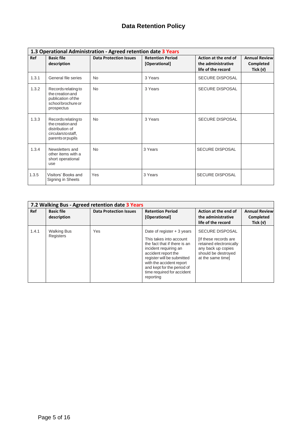| 1.3 Operational Administration - Agreed retention date 3 Years |                                                                                                      |                               |                                          |                                                                  |                                                 |  |  |
|----------------------------------------------------------------|------------------------------------------------------------------------------------------------------|-------------------------------|------------------------------------------|------------------------------------------------------------------|-------------------------------------------------|--|--|
| Ref                                                            | <b>Basic file</b><br>description                                                                     | <b>Data Protection Issues</b> | <b>Retention Period</b><br>[Operational] | Action at the end of<br>the administrative<br>life of the record | <b>Annual Review</b><br>Completed<br>Tick $(v)$ |  |  |
| 1.3.1                                                          | General file series                                                                                  | <b>No</b>                     | 3 Years                                  | <b>SECURE DISPOSAL</b>                                           |                                                 |  |  |
| 1.3.2                                                          | Records relating to<br>the creation and<br>publication of the<br>school brochure or<br>prospectus    | <b>No</b>                     | 3 Years                                  | <b>SECURE DISPOSAL</b>                                           |                                                 |  |  |
| 1.3.3                                                          | Records relating to<br>the creation and<br>distribution of<br>circularstostaff,<br>parents or pupils | <b>No</b>                     | 3 Years                                  | <b>SECURE DISPOSAL</b>                                           |                                                 |  |  |
| 1.3.4                                                          | Newsletters and<br>other items with a<br>short operational<br>use                                    | <b>No</b>                     | 3 Years                                  | <b>SECURE DISPOSAL</b>                                           |                                                 |  |  |
| 1.3.5                                                          | Visitors' Books and<br>Signing in Sheets                                                             | Yes                           | 3 Years                                  | <b>SECURE DISPOSAL</b>                                           |                                                 |  |  |

| 7.2 Walking Bus - Agreed retention date 3 Years |                                  |                               |                                                                                                                                                                                                                                                                           |                                                                                                                                              |                                                 |  |  |
|-------------------------------------------------|----------------------------------|-------------------------------|---------------------------------------------------------------------------------------------------------------------------------------------------------------------------------------------------------------------------------------------------------------------------|----------------------------------------------------------------------------------------------------------------------------------------------|-------------------------------------------------|--|--|
| Ref                                             | <b>Basic file</b><br>description | <b>Data Protection Issues</b> | <b>Retention Period</b><br>[Operational]                                                                                                                                                                                                                                  | Action at the end of<br>the administrative<br>life of the record                                                                             | <b>Annual Review</b><br>Completed<br>Tick $(v)$ |  |  |
| 1.4.1                                           | <b>Walking Bus</b><br>Registers  | Yes                           | Date of register $+3$ years<br>This takes into account<br>the fact that if there is an<br>incident requiring an<br>accident report the<br>register will be submitted<br>with the accident report<br>and kept for the period of<br>time required for accident<br>reporting | <b>SECURE DISPOSAL</b><br>[If these records are<br>retained electronically<br>any back up copies<br>should be destroyed<br>at the same timel |                                                 |  |  |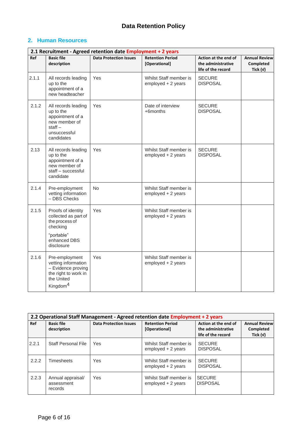#### <span id="page-6-0"></span>**2. Human Resources**

|       | 2.1 Recruitment - Agreed retention date Employment + 2 years                                                              |                               |                                              |                                                                  |                                               |  |  |  |
|-------|---------------------------------------------------------------------------------------------------------------------------|-------------------------------|----------------------------------------------|------------------------------------------------------------------|-----------------------------------------------|--|--|--|
| Ref   | <b>Basic file</b><br>description                                                                                          | <b>Data Protection Issues</b> | <b>Retention Period</b><br>[Operational]     | Action at the end of<br>the administrative<br>life of the record | <b>Annual Review</b><br>Completed<br>Tick (v) |  |  |  |
| 2.1.1 | All records leading<br>up to the<br>appointment of a<br>new headteacher                                                   | Yes                           | Whilst Staff member is<br>employed + 2 years | <b>SECURE</b><br><b>DISPOSAL</b>                                 |                                               |  |  |  |
| 2.1.2 | All records leading<br>up to the<br>appointment of a<br>new member of<br>$stat -$<br>unsuccessful<br>candidates           | Yes                           | Date of interview<br>+6months                | <b>SECURE</b><br><b>DISPOSAL</b>                                 |                                               |  |  |  |
| 2.13  | All records leading<br>up to the<br>appointment of a<br>new member of<br>staff - successful<br>candidate                  | Yes                           | Whilst Staff member is<br>employed + 2 years | <b>SECURE</b><br><b>DISPOSAL</b>                                 |                                               |  |  |  |
| 2.1.4 | Pre-employment<br>vetting information<br>- DBS Checks                                                                     | <b>No</b>                     | Whilst Staff member is<br>employed + 2 years |                                                                  |                                               |  |  |  |
| 2.1.5 | Proofs of identity<br>collected as part of<br>the process of<br>checking<br>"portable"<br>enhanced DBS<br>disclosure      | Yes                           | Whilst Staff member is<br>employed + 2 years |                                                                  |                                               |  |  |  |
| 2.1.6 | Pre-employment<br>vetting information<br>- Evidence proving<br>the right to work in<br>the United<br>Kingdom <sup>4</sup> | Yes                           | Whilst Staff member is<br>employed + 2 years |                                                                  |                                               |  |  |  |

|       | 2.2 Operational Staff Management - Agreed retention date Employment + 2 years |                               |                                                        |                                                                  |                                                 |  |  |  |
|-------|-------------------------------------------------------------------------------|-------------------------------|--------------------------------------------------------|------------------------------------------------------------------|-------------------------------------------------|--|--|--|
| Ref   | <b>Basic file</b><br>description                                              | <b>Data Protection Issues</b> | <b>Retention Period</b><br>[Operational]               | Action at the end of<br>the administrative<br>life of the record | <b>Annual Review</b><br>Completed<br>Tick $(v)$ |  |  |  |
| 2.2.1 | Staff Personal File                                                           | Yes                           | Whilst Staff member is<br>$emploved + 2 \text{ years}$ | <b>SECURE</b><br><b>DISPOSAL</b>                                 |                                                 |  |  |  |
| 2.2.2 | Timesheets                                                                    | Yes                           | Whilst Staff member is<br>employed + 2 years           | <b>SECURE</b><br><b>DISPOSAL</b>                                 |                                                 |  |  |  |
| 2.2.3 | Annual appraisal/<br>assessment<br>records                                    | Yes                           | Whilst Staff member is<br>employed + 2 years           | <b>SECURE</b><br><b>DISPOSAL</b>                                 |                                                 |  |  |  |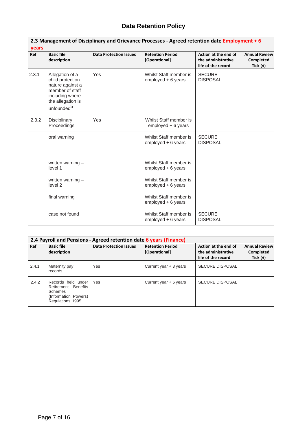| years | 2.3 Management of Disciplinary and Grievance Processes - Agreed retention date Employment + 6                                                |                               |                                              |                                                                  |                                               |  |  |  |
|-------|----------------------------------------------------------------------------------------------------------------------------------------------|-------------------------------|----------------------------------------------|------------------------------------------------------------------|-----------------------------------------------|--|--|--|
| Ref   | <b>Basic file</b><br>description                                                                                                             | <b>Data Protection Issues</b> | <b>Retention Period</b><br>[Operational]     | Action at the end of<br>the administrative<br>life of the record | <b>Annual Review</b><br>Completed<br>Tick (v) |  |  |  |
| 2.3.1 | Allegation of a<br>child protection<br>nature against a<br>member of staff<br>including where<br>the allegation is<br>unfounded <sup>5</sup> | Yes                           | Whilst Staff member is<br>employed + 6 years | <b>SECURE</b><br><b>DISPOSAL</b>                                 |                                               |  |  |  |
| 2.3.2 | Disciplinary<br>Proceedings                                                                                                                  | Yes                           | Whilst Staff member is<br>employed + 6 years |                                                                  |                                               |  |  |  |
|       | oral warning                                                                                                                                 |                               | Whilst Staff member is<br>employed + 6 years | <b>SECURE</b><br><b>DISPOSAL</b>                                 |                                               |  |  |  |
|       | written warning -<br>level 1                                                                                                                 |                               | Whilst Staff member is<br>employed + 6 years |                                                                  |                                               |  |  |  |
|       | written warning -<br>level 2                                                                                                                 |                               | Whilst Staff member is<br>employed + 6 years |                                                                  |                                               |  |  |  |
|       | final warning                                                                                                                                |                               | Whilst Staff member is<br>employed + 6 years |                                                                  |                                               |  |  |  |
|       | case not found                                                                                                                               |                               | Whilst Staff member is<br>employed + 6 years | <b>SECURE</b><br><b>DISPOSAL</b>                                 |                                               |  |  |  |

| 2.4 Payroll and Pensions - Agreed retention date 6 years (Finance) |                                                                                                  |                               |                                          |                                                                  |                                                 |  |  |
|--------------------------------------------------------------------|--------------------------------------------------------------------------------------------------|-------------------------------|------------------------------------------|------------------------------------------------------------------|-------------------------------------------------|--|--|
| Ref                                                                | <b>Basic file</b><br>description                                                                 | <b>Data Protection Issues</b> | <b>Retention Period</b><br>[Operational] | Action at the end of<br>the administrative<br>life of the record | <b>Annual Review</b><br>Completed<br>Tick $(v)$ |  |  |
| 2.4.1                                                              | Maternity pay<br>records                                                                         | Yes                           | Current year + 3 years                   | <b>SECURE DISPOSAL</b>                                           |                                                 |  |  |
| 2.4.2                                                              | Records held under<br>Retirement Benefits<br>Schemes<br>(Information Powers)<br>Regulations 1995 | Yes                           | Current year $+6$ years                  | <b>SECURE DISPOSAL</b>                                           |                                                 |  |  |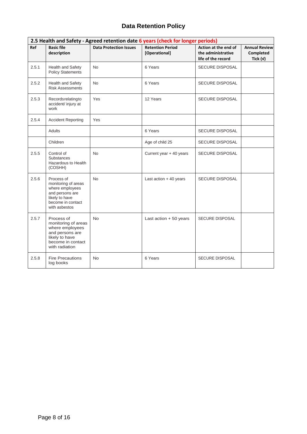| 2.5 Health and Safety - Agreed retention date 6 years (check for longer periods) |                                                                                                                                  |                               |                                          |                                                                  |                                                        |  |  |
|----------------------------------------------------------------------------------|----------------------------------------------------------------------------------------------------------------------------------|-------------------------------|------------------------------------------|------------------------------------------------------------------|--------------------------------------------------------|--|--|
| Ref                                                                              | <b>Basic file</b><br>description                                                                                                 | <b>Data Protection Issues</b> | <b>Retention Period</b><br>[Operational] | Action at the end of<br>the administrative<br>life of the record | <b>Annual Review</b><br><b>Completed</b><br>Tick $(v)$ |  |  |
| 2.5.1                                                                            | Health and Safety<br><b>Policy Statements</b>                                                                                    | <b>No</b>                     | 6 Years                                  | SECURE DISPOSAL                                                  |                                                        |  |  |
| 2.5.2                                                                            | Health and Safety<br><b>Risk Assessments</b>                                                                                     | <b>No</b>                     | 6 Years                                  | <b>SECURE DISPOSAL</b>                                           |                                                        |  |  |
| 2.5.3                                                                            | Records relating to<br>accident/ injury at<br>work                                                                               | Yes                           | 12 Years                                 | <b>SECURE DISPOSAL</b>                                           |                                                        |  |  |
| 2.5.4                                                                            | <b>Accident Reporting</b>                                                                                                        | Yes                           |                                          |                                                                  |                                                        |  |  |
|                                                                                  | <b>Adults</b>                                                                                                                    |                               | 6 Years                                  | <b>SECURE DISPOSAL</b>                                           |                                                        |  |  |
|                                                                                  | Children                                                                                                                         |                               | Age of child 25                          | <b>SECURE DISPOSAL</b>                                           |                                                        |  |  |
| 2.5.5                                                                            | Control of<br><b>Substances</b><br>Hazardous to Health<br>(COSHH)                                                                | <b>No</b>                     | Current year + 40 years                  | SECURE DISPOSAL                                                  |                                                        |  |  |
| 2.5.6                                                                            | Process of<br>monitoring of areas<br>where employees<br>and persons are<br>likely to have<br>become in contact<br>with asbestos  | <b>No</b>                     | Last action $+40$ years                  | <b>SECURE DISPOSAL</b>                                           |                                                        |  |  |
| 2.5.7                                                                            | Process of<br>monitoring of areas<br>where employees<br>and persons are<br>likely to have<br>become in contact<br>with radiation | <b>No</b>                     | Last action $+50$ years                  | <b>SECURE DISPOSAL</b>                                           |                                                        |  |  |
| 2.5.8                                                                            | <b>Fire Precautions</b><br>log books                                                                                             | <b>No</b>                     | 6 Years                                  | <b>SECURE DISPOSAL</b>                                           |                                                        |  |  |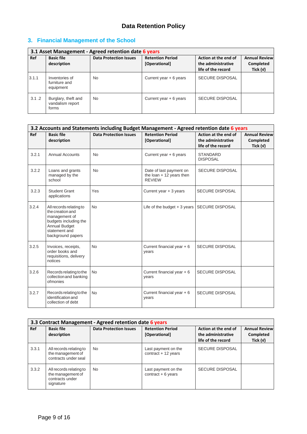# <span id="page-9-0"></span>**3. Financial Management of the School**

| 3.1 Asset Management - Agreed retention date 6 years |                                                  |                               |                                          |                                                                  |                                                 |  |  |
|------------------------------------------------------|--------------------------------------------------|-------------------------------|------------------------------------------|------------------------------------------------------------------|-------------------------------------------------|--|--|
| Ref                                                  | <b>Basic file</b><br>description                 | <b>Data Protection Issues</b> | <b>Retention Period</b><br>[Operational] | Action at the end of<br>the administrative<br>life of the record | <b>Annual Review</b><br>Completed<br>Tick $(v)$ |  |  |
| 3.1.1                                                | Inventories of<br>furniture and<br>equipment     | <b>No</b>                     | Current year + 6 years                   | <b>SECURE DISPOSAL</b>                                           |                                                 |  |  |
| 3.1.2                                                | Burglary, theft and<br>vandalism report<br>forms | <b>No</b>                     | Current year + 6 years                   | <b>SECURE DISPOSAL</b>                                           |                                                 |  |  |

| 3.2 Accounts and Statements including Budget Management - Agreed retention date 6 years |                                                                                                                                                     |                               |                                                                       |                                                                  |                                                      |  |  |
|-----------------------------------------------------------------------------------------|-----------------------------------------------------------------------------------------------------------------------------------------------------|-------------------------------|-----------------------------------------------------------------------|------------------------------------------------------------------|------------------------------------------------------|--|--|
| Ref                                                                                     | <b>Basic file</b><br>description                                                                                                                    | <b>Data Protection Issues</b> | <b>Retention Period</b><br>[Operational]                              | Action at the end of<br>the administrative<br>life of the record | <b>Annual Review</b><br><b>Completed</b><br>Tick (v) |  |  |
| 3.2.1                                                                                   | <b>Annual Accounts</b>                                                                                                                              | <b>No</b>                     | Current year $+ 6$ years                                              | <b>STANDARD</b><br><b>DISPOSAL</b>                               |                                                      |  |  |
| 3.2.2                                                                                   | Loans and grants<br>managed by the<br>school                                                                                                        | <b>No</b>                     | Date of last payment on<br>the loan $+12$ years then<br><b>REVIEW</b> | <b>SECURE DISPOSAL</b>                                           |                                                      |  |  |
| 3.2.3                                                                                   | <b>Student Grant</b><br>applications                                                                                                                | Yes                           | Current year + 3 years                                                | <b>SECURE DISPOSAL</b>                                           |                                                      |  |  |
| 3.2.4                                                                                   | All records relating to<br>the creation and<br>management of<br>budgets including the<br><b>Annual Budget</b><br>statement and<br>background papers | <b>No</b>                     | Life of the budget $+3$ years                                         | <b>SECURE DISPOSAL</b>                                           |                                                      |  |  |
| 3.2.5                                                                                   | Invoices, receipts,<br>order books and<br>requisitions, delivery<br>notices                                                                         | <b>No</b>                     | Current financial year $+6$<br>years                                  | <b>SECURE DISPOSAL</b>                                           |                                                      |  |  |
| 3.2.6                                                                                   | Records relating to the<br>collection and banking<br>ofmonies                                                                                       | <b>No</b>                     | Current financial year $+6$<br>years                                  | <b>SECURE DISPOSAL</b>                                           |                                                      |  |  |
| 3.2.7                                                                                   | Records relating to the<br>identification and<br>collection of debt                                                                                 | <b>No</b>                     | Current financial year $+6$<br>years                                  | <b>SECURE DISPOSAL</b>                                           |                                                      |  |  |

| 3.3 Contract Management - Agreed retention date 6 years |                                                                              |                               |                                              |                                                                  |                                                 |  |  |
|---------------------------------------------------------|------------------------------------------------------------------------------|-------------------------------|----------------------------------------------|------------------------------------------------------------------|-------------------------------------------------|--|--|
| Ref                                                     | <b>Basic file</b><br>description                                             | <b>Data Protection Issues</b> | <b>Retention Period</b><br>[Operational]     | Action at the end of<br>the administrative<br>life of the record | <b>Annual Review</b><br>Completed<br>Tick $(v)$ |  |  |
| 3.3.1                                                   | All records relating to<br>the management of<br>contracts under seal         | No.                           | Last payment on the<br>$contract + 12 years$ | <b>SECURE DISPOSAL</b>                                           |                                                 |  |  |
| 3.3.2                                                   | All records relating to<br>the management of<br>contracts under<br>signature | <b>No</b>                     | Last payment on the<br>$contract + 6 years$  | <b>SECURE DISPOSAL</b>                                           |                                                 |  |  |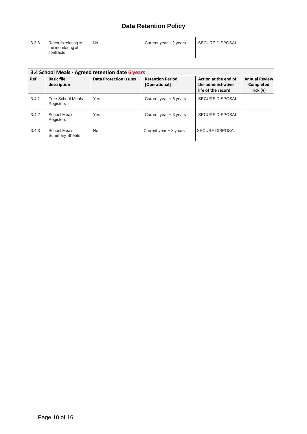| 3.3.3<br>Records relating to<br>the monitoring of<br>contracts | No | Current year $+2$ years | SECURE DISPOSAL |  |
|----------------------------------------------------------------|----|-------------------------|-----------------|--|
|----------------------------------------------------------------|----|-------------------------|-----------------|--|

|       | 3.4 School Meals - Agreed retention date 6 years |                               |                                          |                                                                  |                                                 |  |  |  |
|-------|--------------------------------------------------|-------------------------------|------------------------------------------|------------------------------------------------------------------|-------------------------------------------------|--|--|--|
| Ref   | <b>Basic file</b><br>description                 | <b>Data Protection Issues</b> | <b>Retention Period</b><br>[Operational] | Action at the end of<br>the administrative<br>life of the record | <b>Annual Review</b><br>Completed<br>Tick $(v)$ |  |  |  |
| 3.4.1 | Free School Meals<br>Registers                   | Yes                           | Current year + 6 years                   | <b>SECURE DISPOSAL</b>                                           |                                                 |  |  |  |
| 3.4.2 | School Meals<br>Registers                        | Yes                           | Current year + 3 years                   | <b>SECURE DISPOSAL</b>                                           |                                                 |  |  |  |
| 3.4.3 | School Meals<br><b>Summary Sheets</b>            | <b>No</b>                     | Current year + 3 years                   | <b>SECURE DISPOSAL</b>                                           |                                                 |  |  |  |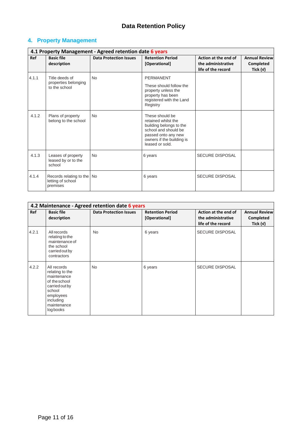# <span id="page-11-0"></span>**4. Property Management**

|       | 4.1 Property Management - Agreed retention date 6 years     |                               |                                                                                                                                                                  |                                                                  |                                                 |  |  |  |
|-------|-------------------------------------------------------------|-------------------------------|------------------------------------------------------------------------------------------------------------------------------------------------------------------|------------------------------------------------------------------|-------------------------------------------------|--|--|--|
| Ref   | <b>Basic file</b><br>description                            | <b>Data Protection Issues</b> | <b>Retention Period</b><br>[Operational]                                                                                                                         | Action at the end of<br>the administrative<br>life of the record | <b>Annual Review</b><br>Completed<br>Tick $(v)$ |  |  |  |
| 4.1.1 | Title deeds of<br>properties belonging<br>to the school     | <b>No</b>                     | <b>PERMANENT</b><br>These should follow the<br>property unless the<br>property has been<br>registered with the Land<br>Registry                                  |                                                                  |                                                 |  |  |  |
| 4.1.2 | Plans of property<br>belong to the school                   | <b>No</b>                     | These should be<br>retained whilst the<br>building belongs to the<br>school and should be<br>passed onto any new<br>owners if the building is<br>leased or sold. |                                                                  |                                                 |  |  |  |
| 4.1.3 | Leases of property<br>leased by or to the<br>school         | No.                           | 6 years                                                                                                                                                          | <b>SECURE DISPOSAL</b>                                           |                                                 |  |  |  |
| 4.1.4 | Records relating to the No<br>letting of school<br>premises |                               | 6 years                                                                                                                                                          | <b>SECURE DISPOSAL</b>                                           |                                                 |  |  |  |

|       | 4.2 Maintenance - Agreed retention date 6 years                                                                                                  |                               |                                          |                                                                  |                                                 |  |  |  |
|-------|--------------------------------------------------------------------------------------------------------------------------------------------------|-------------------------------|------------------------------------------|------------------------------------------------------------------|-------------------------------------------------|--|--|--|
| Ref   | <b>Basic file</b><br>description                                                                                                                 | <b>Data Protection Issues</b> | <b>Retention Period</b><br>[Operational] | Action at the end of<br>the administrative<br>life of the record | <b>Annual Review</b><br>Completed<br>Tick $(v)$ |  |  |  |
| 4.2.1 | All records<br>relating to the<br>maintenance of<br>the school<br>carried out by<br>contractors                                                  | <b>No</b>                     | 6 years                                  | <b>SECURE DISPOSAL</b>                                           |                                                 |  |  |  |
| 4.2.2 | All records<br>relating to the<br>maintenance<br>of the school<br>carried out by<br>school<br>employees<br>including<br>maintenance<br>log books | No                            | 6 years                                  | <b>SECURE DISPOSAL</b>                                           |                                                 |  |  |  |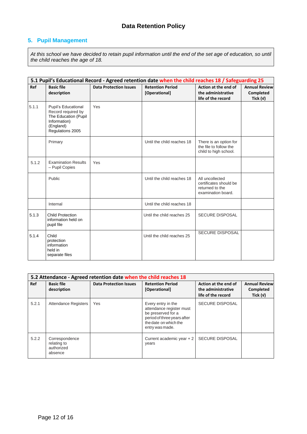### <span id="page-12-0"></span>**5. Pupil Management**

*At this school we have decided to retain pupil information until the end of the set age of education, so until the child reaches the age of 18.*

|       | 5.1 Pupil's Educational Record - Agreed retention date when the child reaches 18 / Safeguarding 25                 |                               |                                          |                                                                                    |                                                        |  |  |
|-------|--------------------------------------------------------------------------------------------------------------------|-------------------------------|------------------------------------------|------------------------------------------------------------------------------------|--------------------------------------------------------|--|--|
| Ref   | <b>Basic file</b><br>description                                                                                   | <b>Data Protection Issues</b> | <b>Retention Period</b><br>[Operational] | Action at the end of<br>the administrative<br>life of the record                   | <b>Annual Review</b><br><b>Completed</b><br>Tick $(v)$ |  |  |
| 5.1.1 | Pupil's Educational<br>Record required by<br>The Education (Pupil<br>Information)<br>(England)<br>Regulations 2005 | Yes                           |                                          |                                                                                    |                                                        |  |  |
|       | Primary                                                                                                            |                               | Until the child reaches 18               | There is an option for<br>the file to follow the<br>child to high school.          |                                                        |  |  |
| 5.1.2 | <b>Examination Results</b><br>- Pupil Copies                                                                       | Yes                           |                                          |                                                                                    |                                                        |  |  |
|       | Public                                                                                                             |                               | Until the child reaches 18               | All uncollected<br>certificates should be<br>returned to the<br>examination board. |                                                        |  |  |
|       | Internal                                                                                                           |                               | Until the child reaches 18               |                                                                                    |                                                        |  |  |
| 5.1.3 | <b>Child Protection</b><br>information held on<br>pupil file                                                       |                               | Until the child reaches 25               | <b>SECURE DISPOSAL</b>                                                             |                                                        |  |  |
| 5.1.4 | Child<br>protection<br>information<br>held in<br>separate files                                                    |                               | Until the child reaches 25               | <b>SECURE DISPOSAL</b>                                                             |                                                        |  |  |

| 5.2 Attendance - Agreed retention date when the child reaches 18 |                                                        |                               |                                                                                                                                                 |                                                                  |                                                 |  |  |
|------------------------------------------------------------------|--------------------------------------------------------|-------------------------------|-------------------------------------------------------------------------------------------------------------------------------------------------|------------------------------------------------------------------|-------------------------------------------------|--|--|
| Ref                                                              | <b>Basic file</b><br>description                       | <b>Data Protection Issues</b> | <b>Retention Period</b><br>[Operational]                                                                                                        | Action at the end of<br>the administrative<br>life of the record | <b>Annual Review</b><br>Completed<br>Tick $(v)$ |  |  |
| 5.2.1                                                            | Attendance Registers                                   | Yes                           | Every entry in the<br>attendance register must<br>be preserved for a<br>period of three years after<br>the date on which the<br>entry was made. | <b>SECURE DISPOSAL</b>                                           |                                                 |  |  |
| 5.2.2                                                            | Correspondence<br>relating to<br>authorized<br>absence |                               | Current academic year $+2$<br>years                                                                                                             | <b>SECURE DISPOSAL</b>                                           |                                                 |  |  |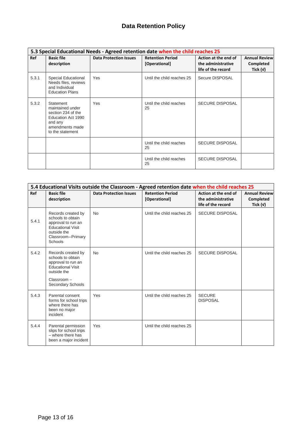| 5.3 Special Educational Needs - Agreed retention date when the child reaches 25 |                                                                                                                             |                               |                                          |                                                                  |                                               |  |  |
|---------------------------------------------------------------------------------|-----------------------------------------------------------------------------------------------------------------------------|-------------------------------|------------------------------------------|------------------------------------------------------------------|-----------------------------------------------|--|--|
| <b>Ref</b>                                                                      | <b>Basic file</b><br>description                                                                                            | <b>Data Protection Issues</b> | <b>Retention Period</b><br>[Operational] | Action at the end of<br>the administrative<br>life of the record | <b>Annual Review</b><br>Completed<br>Tick (v) |  |  |
| 5.3.1                                                                           | <b>Special Educational</b><br>Needs files, reviews<br>and Individual<br><b>Education Plans</b>                              | Yes                           | Until the child reaches 25               | Secure DISPOSAL                                                  |                                               |  |  |
| 5.3.2                                                                           | Statement<br>maintained under<br>section 234 of the<br>Education Act 1990<br>and any<br>amendments made<br>to the statement | Yes                           | Until the child reaches<br>25            | <b>SECURE DISPOSAL</b>                                           |                                               |  |  |
|                                                                                 |                                                                                                                             |                               | Until the child reaches<br>25            | <b>SECURE DISPOSAL</b>                                           |                                               |  |  |
|                                                                                 |                                                                                                                             |                               | Until the child reaches<br>25            | <b>SECURE DISPOSAL</b>                                           |                                               |  |  |

|       | 5.4 Educational Visits outside the Classroom - Agreed retention date when the child reaches 25                                              |                               |                                          |                                                                  |                                                 |  |  |
|-------|---------------------------------------------------------------------------------------------------------------------------------------------|-------------------------------|------------------------------------------|------------------------------------------------------------------|-------------------------------------------------|--|--|
| Ref   | <b>Basic file</b><br>description                                                                                                            | <b>Data Protection Issues</b> | <b>Retention Period</b><br>[Operational] | Action at the end of<br>the administrative<br>life of the record | <b>Annual Review</b><br>Completed<br>Tick $(v)$ |  |  |
| 5.4.1 | Records created by<br>schools to obtain<br>approval to run an<br><b>Educational Visit</b><br>outside the<br>Classroom-Primary<br>Schools    | <b>No</b>                     | Until the child reaches 25               | <b>SECURE DISPOSAL</b>                                           |                                                 |  |  |
| 5.4.2 | Records created by<br>schools to obtain<br>approval to run an<br><b>Educational Visit</b><br>outside the<br>Classroom-<br>Secondary Schools | <b>No</b>                     | Until the child reaches 25               | <b>SECURE DISPOSAL</b>                                           |                                                 |  |  |
| 5.4.3 | Parental consent<br>forms for school trips<br>where there has<br>been no major<br>incident                                                  | Yes                           | Until the child reaches 25               | <b>SECURE</b><br><b>DISPOSAL</b>                                 |                                                 |  |  |
| 5.4.4 | Parental permission<br>slips for school trips<br>- where there has<br>been a major incident                                                 | Yes                           | Until the child reaches 25               |                                                                  |                                                 |  |  |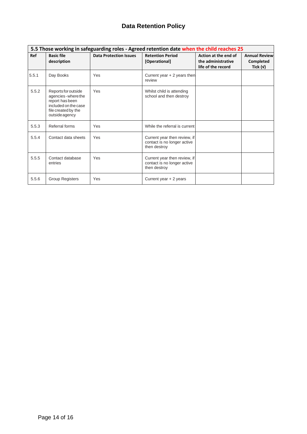|       |                                                                                                                                 |                               | 5.5 Those working in safeguarding roles - Agreed retention date when the child reaches 25 |                                                                  |                                                        |
|-------|---------------------------------------------------------------------------------------------------------------------------------|-------------------------------|-------------------------------------------------------------------------------------------|------------------------------------------------------------------|--------------------------------------------------------|
| Ref   | <b>Basic file</b><br>description                                                                                                | <b>Data Protection Issues</b> | <b>Retention Period</b><br>[Operational]                                                  | Action at the end of<br>the administrative<br>life of the record | <b>Annual Review</b><br><b>Completed</b><br>Tick $(v)$ |
| 5.5.1 | Day Books                                                                                                                       | Yes                           | Current year $+2$ years then<br>review                                                    |                                                                  |                                                        |
| 5.5.2 | Reports for outside<br>agencies - where the<br>report has been<br>included on the case<br>file created by the<br>outside agency | Yes                           | Whilst child is attending<br>school and then destroy                                      |                                                                  |                                                        |
| 5.5.3 | Referral forms                                                                                                                  | Yes                           | While the referral is current                                                             |                                                                  |                                                        |
| 5.5.4 | Contact data sheets                                                                                                             | Yes                           | Current year then review, if<br>contact is no longer active<br>then destroy               |                                                                  |                                                        |
| 5.5.5 | Contact database<br>entries                                                                                                     | Yes                           | Current year then review, if<br>contact is no longer active<br>then destroy               |                                                                  |                                                        |
| 5.5.6 | <b>Group Registers</b>                                                                                                          | Yes                           | Current year + 2 years                                                                    |                                                                  |                                                        |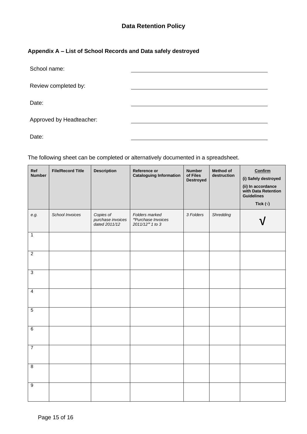### <span id="page-15-0"></span>**Appendix A – List of School Records and Data safely destroyed**

| School name:             |  |
|--------------------------|--|
| Review completed by:     |  |
| Date:                    |  |
| Approved by Headteacher: |  |
| Date:                    |  |

The following sheet can be completed or alternatively documented in a spreadsheet.

| Ref<br><b>Number</b> | <b>File/Record Title</b> | <b>Description</b>                              | Reference or<br><b>Cataloguing Information</b>          | <b>Number</b><br>of Files<br><b>Destroyed</b> | <b>Method of</b><br>destruction | Confirm<br>(i) Safely destroyed<br>(ii) In accordance<br>with Data Retention<br><b>Guidelines</b><br>Tick $(\forall)$ |
|----------------------|--------------------------|-------------------------------------------------|---------------------------------------------------------|-----------------------------------------------|---------------------------------|-----------------------------------------------------------------------------------------------------------------------|
| e.g.                 | School Invoices          | Copies of<br>purchase invoices<br>dated 2011/12 | Folders marked<br>"Purchase Invoices<br>2011/12" 1 to 3 | 3 Folders                                     | Shredding                       |                                                                                                                       |
| $\overline{1}$       |                          |                                                 |                                                         |                                               |                                 |                                                                                                                       |
| $\overline{2}$       |                          |                                                 |                                                         |                                               |                                 |                                                                                                                       |
| $\overline{3}$       |                          |                                                 |                                                         |                                               |                                 |                                                                                                                       |
| $\overline{4}$       |                          |                                                 |                                                         |                                               |                                 |                                                                                                                       |
| $\overline{5}$       |                          |                                                 |                                                         |                                               |                                 |                                                                                                                       |
| $\overline{6}$       |                          |                                                 |                                                         |                                               |                                 |                                                                                                                       |
| $\overline{7}$       |                          |                                                 |                                                         |                                               |                                 |                                                                                                                       |
| $\overline{8}$       |                          |                                                 |                                                         |                                               |                                 |                                                                                                                       |
| $\overline{9}$       |                          |                                                 |                                                         |                                               |                                 |                                                                                                                       |